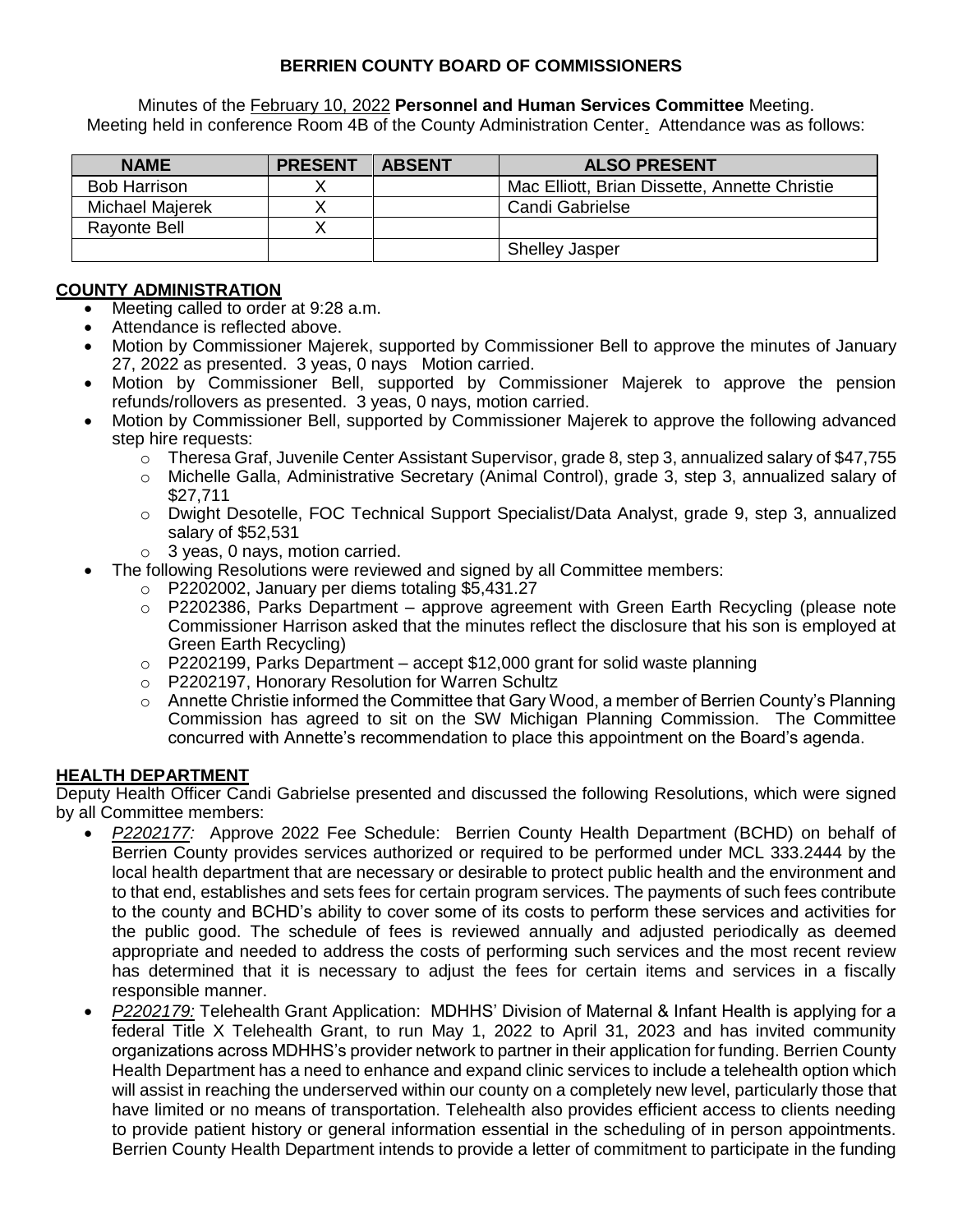## **BERRIEN COUNTY BOARD OF COMMISSIONERS**

Minutes of the February 10, 2022 **Personnel and Human Services Committee** Meeting. Meeting held in conference Room 4B of the County Administration Center. Attendance was as follows:

| <b>NAME</b>         | <b>PRESENT</b> | <b>ABSENT</b> | <b>ALSO PRESENT</b>                           |
|---------------------|----------------|---------------|-----------------------------------------------|
| <b>Bob Harrison</b> |                |               | Mac Elliott, Brian Dissette, Annette Christie |
| Michael Majerek     |                |               | Candi Gabrielse                               |
| <b>Rayonte Bell</b> |                |               |                                               |
|                     |                |               | <b>Shelley Jasper</b>                         |

## **COUNTY ADMINISTRATION**

- Meeting called to order at 9:28 a.m.
- Attendance is reflected above.
- Motion by Commissioner Majerek, supported by Commissioner Bell to approve the minutes of January 27, 2022 as presented. 3 yeas, 0 nays Motion carried.
- Motion by Commissioner Bell, supported by Commissioner Majerek to approve the pension refunds/rollovers as presented. 3 yeas, 0 nays, motion carried.
- Motion by Commissioner Bell, supported by Commissioner Majerek to approve the following advanced step hire requests:
	- $\circ$  Theresa Graf, Juvenile Center Assistant Supervisor, grade 8, step 3, annualized salary of \$47,755
	- o Michelle Galla, Administrative Secretary (Animal Control), grade 3, step 3, annualized salary of \$27,711
	- o Dwight Desotelle, FOC Technical Support Specialist/Data Analyst, grade 9, step 3, annualized salary of \$52,531
	- $\circ$  3 yeas, 0 nays, motion carried.
- The following Resolutions were reviewed and signed by all Committee members:
	- o P2202002, January per diems totaling \$5,431.27
	- o P2202386, Parks Department approve agreement with Green Earth Recycling (please note Commissioner Harrison asked that the minutes reflect the disclosure that his son is employed at Green Earth Recycling)
	- $\circ$  P2202199, Parks Department accept \$12,000 grant for solid waste planning
	- o P2202197, Honorary Resolution for Warren Schultz
	- $\circ$  Annette Christie informed the Committee that Gary Wood, a member of Berrien County's Planning Commission has agreed to sit on the SW Michigan Planning Commission. The Committee concurred with Annette's recommendation to place this appointment on the Board's agenda.

## **HEALTH DEPARTMENT**

Deputy Health Officer Candi Gabrielse presented and discussed the following Resolutions, which were signed by all Committee members:

- *P2202177:* Approve 2022 Fee Schedule: Berrien County Health Department (BCHD) on behalf of Berrien County provides services authorized or required to be performed under MCL 333.2444 by the local health department that are necessary or desirable to protect public health and the environment and to that end, establishes and sets fees for certain program services. The payments of such fees contribute to the county and BCHD's ability to cover some of its costs to perform these services and activities for the public good. The schedule of fees is reviewed annually and adjusted periodically as deemed appropriate and needed to address the costs of performing such services and the most recent review has determined that it is necessary to adjust the fees for certain items and services in a fiscally responsible manner.
- *P2202179:* Telehealth Grant Application: MDHHS' Division of Maternal & Infant Health is applying for a federal Title X Telehealth Grant, to run May 1, 2022 to April 31, 2023 and has invited community organizations across MDHHS's provider network to partner in their application for funding. Berrien County Health Department has a need to enhance and expand clinic services to include a telehealth option which will assist in reaching the underserved within our county on a completely new level, particularly those that have limited or no means of transportation. Telehealth also provides efficient access to clients needing to provide patient history or general information essential in the scheduling of in person appointments. Berrien County Health Department intends to provide a letter of commitment to participate in the funding